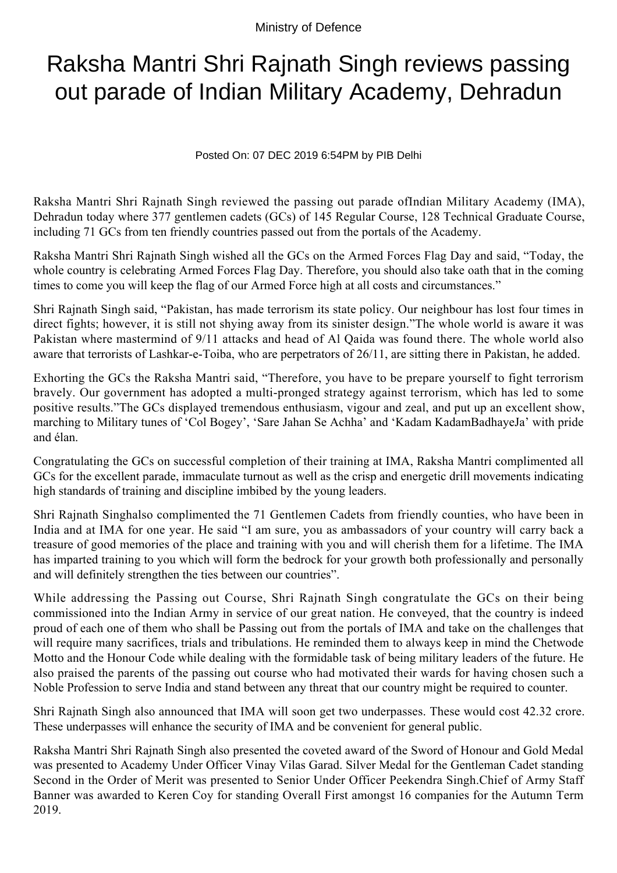Ministry of Defence

## Raksha Mantri Shri Rajnath Singh reviews passing out parade of Indian Military Academy, Dehradun

Posted On: 07 DEC 2019 6:54PM by PIB Delhi

Raksha Mantri Shri Rajnath Singh reviewed the passing out parade ofIndian Military Academy (IMA), Dehradun today where 377 gentlemen cadets (GCs) of 145 Regular Course, 128 Technical Graduate Course, including 71 GCs from ten friendly countries passed out from the portals of the Academy.

Raksha Mantri Shri Rajnath Singh wished all the GCs on the Armed Forces Flag Day and said, "Today, the whole country is celebrating Armed Forces Flag Day. Therefore, you should also take oath that in the coming times to come you will keep the flag of our Armed Force high at all costs and circumstances."

Shri Rajnath Singh said, "Pakistan, has made terrorism its state policy. Our neighbour has lost four times in direct fights; however, it is still not shying away from its sinister design."The whole world is aware it was Pakistan where mastermind of 9/11 attacks and head of Al Qaida was found there. The whole world also aware that terrorists of Lashkar-e-Toiba, who are perpetrators of 26/11, are sitting there in Pakistan, he added.

Exhorting the GCs the Raksha Mantri said, "Therefore, you have to be prepare yourself to fight terrorism bravely. Our government has adopted a multi-pronged strategy against terrorism, which has led to some positive results."The GCs displayed tremendous enthusiasm, vigour and zeal, and put up an excellent show, marching to Military tunes of 'Col Bogey', 'Sare Jahan Se Achha' and 'Kadam KadamBadhayeJa' with pride and élan.

Congratulating the GCs on successful completion of their training at IMA, Raksha Mantri complimented all GCs for the excellent parade, immaculate turnout as well as the crisp and energetic drill movements indicating high standards of training and discipline imbibed by the young leaders.

Shri Rajnath Singhalso complimented the 71 Gentlemen Cadets from friendly counties, who have been in India and at IMA for one year. He said "I am sure, you as ambassadors of your country will carry back a treasure of good memories of the place and training with you and will cherish them for a lifetime. The IMA has imparted training to you which will form the bedrock for your growth both professionally and personally and will definitely strengthen the ties between our countries".

While addressing the Passing out Course, Shri Rajnath Singh congratulate the GCs on their being commissioned into the Indian Army in service of our great nation. He conveyed, that the country is indeed proud of each one of them who shall be Passing out from the portals of IMA and take on the challenges that will require many sacrifices, trials and tribulations. He reminded them to always keep in mind the Chetwode Motto and the Honour Code while dealing with the formidable task of being military leaders of the future. He also praised the parents of the passing out course who had motivated their wards for having chosen such a Noble Profession to serve India and stand between any threat that our country might be required to counter.

Shri Rajnath Singh also announced that IMA will soon get two underpasses. These would cost 42.32 crore. These underpasses will enhance the security of IMA and be convenient for general public.

Raksha Mantri Shri Rajnath Singh also presented the coveted award of the Sword of Honour and Gold Medal was presented to Academy Under Officer Vinay Vilas Garad. Silver Medal for the Gentleman Cadet standing Second in the Order of Merit was presented to Senior Under Officer Peekendra Singh.Chief of Army Staff Banner was awarded to Keren Coy for standing Overall First amongst 16 companies for the Autumn Term 2019.